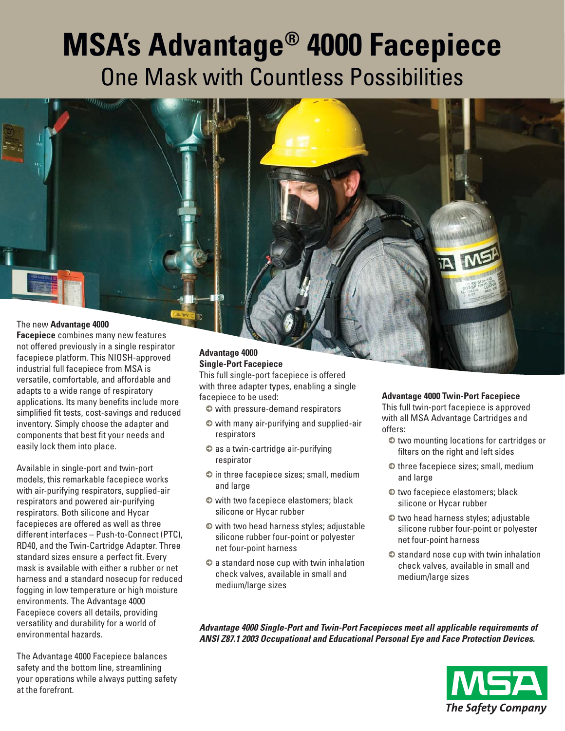# **MSA's Advantage® 4000 Facepiece**  One Mask with Countless Possibilities

# The new **Advantage 4000**

**Facepiece** combines many new features not offered previously in a single respirator facepiece platform. This NIOSH-approved industrial full facepiece from MSA is versatile, comfortable, and affordable and adapts to a wide range of respiratory applications. Its many benefits include more simplified fit tests, cost-savings and reduced inventory. Simply choose the adapter and components that best fit your needs and easily lock them into place.

Available in single-port and twin-port models, this remarkable facepiece works with air-purifying respirators, supplied-air respirators and powered air-purifying respirators. Both silicone and Hycar facepieces are offered as well as three different interfaces – Push-to-Connect (PTC), RD40, and the Twin-Cartridge Adapter. Three standard sizes ensure a perfect fit. Every mask is available with either a rubber or net harness and a standard nosecup for reduced fogging in low temperature or high moisture environments. The Advantage 4000 Facepiece covers all details, providing versatility and durability for a world of environmental hazards.

The Advantage 4000 Facepiece balances safety and the bottom line, streamlining your operations while always putting safety at the forefront.

### **Advantage 4000 Single-Port Facepiece**

This full single-port facepiece is offered with three adapter types, enabling a single facepiece to be used:

- $\bullet$  with pressure-demand respirators
- 5 with many air-purifying and supplied-air respirators
- $\bullet$  as a twin-cartridge air-purifying respirator
- $\bullet$  in three facepiece sizes; small, medium and large
- $\bullet$  with two facepiece elastomers; black silicone or Hycar rubber
- 5 with two head harness styles; adjustable silicone rubber four-point or polyester net four-point harness
- $\bullet$  a standard nose cup with twin inhalation check valves, available in small and medium/large sizes

#### **Advantage 4000 Twin-Port Facepiece**

This full twin-port facepiece is approved with all MSA Advantage Cartridges and offers:

- $\bullet$  two mounting locations for cartridges or filters on the right and left sides
- $\bullet$  three facepiece sizes; small, medium and large
- $\bullet$  two facepiece elastomers; black silicone or Hycar rubber
- $\bullet$  two head harness styles; adjustable silicone rubber four-point or polyester net four-point harness
- $\bullet$  standard nose cup with twin inhalation check valves, available in small and medium/large sizes

*Advantage 4000 Single-Port and Twin-Port Facepieces meet all applicable requirements of ANSI Z87.1 2003 Occupational and Educational Personal Eye and Face Protection Devices.*